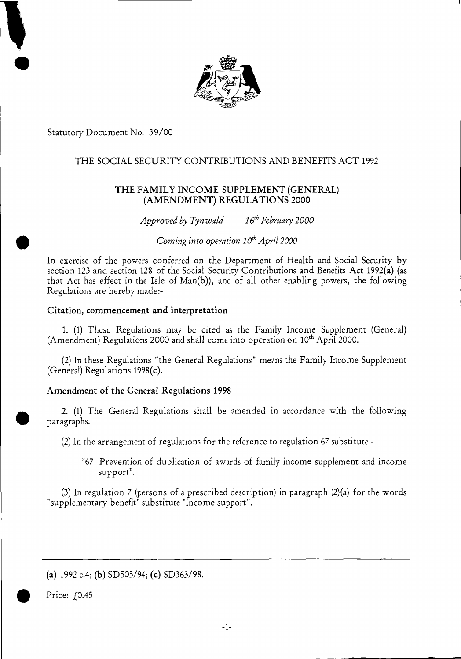

Statutory Document No. 39/00

# THE SOCIAL SECURITY CONTRIBUTIONS AND BENEFITS ACT 1992

# THE FAMILY INCOME SUPPLEMENT (GENERAL) (AMENDMENT) REGULATIONS 2000

*Approved by Tynwald* 16<sup>th</sup> February 2000

*Coming into operation 10<sup>th</sup> April 2000* 

In exercise of the powers conferred on the Department of Health and Social Security by section 123 and section 128 of the Social Security Contributions and Benefits Act 1992(a) (as that Act has effect in the Isle of Man(b)), and of all other enabling powers, the following Regulations are hereby made:-

### Citation, commencement and interpretation

1. (1) These Regulations may be cited as the Family Income Supplement (General) (Amendment) Regulations 2000 and shall come into operation on  $10<sup>th</sup>$  April 2000.

(2) In these Regulations "the General Regulations" means the Family Income Supplement (General) Regulations 1998(c).

# Amendment of the General Regulations 1998

2. (1) The General Regulations shall be amended in accordance with the following paragraphs.

(2)In the arrangement of regulations for the reference to regulation 67 substitute -

"67. Prevention of duplication of awards of family income supplement and income support".

(3) In regulation 7 (persons of a prescribed description) in paragraph (2)(a) for the words "supplementary benefit" substitute "income support".

(a) 1992 c.4; (b) SD505/94; (c) SD363/98.

Price:  $f(0.45)$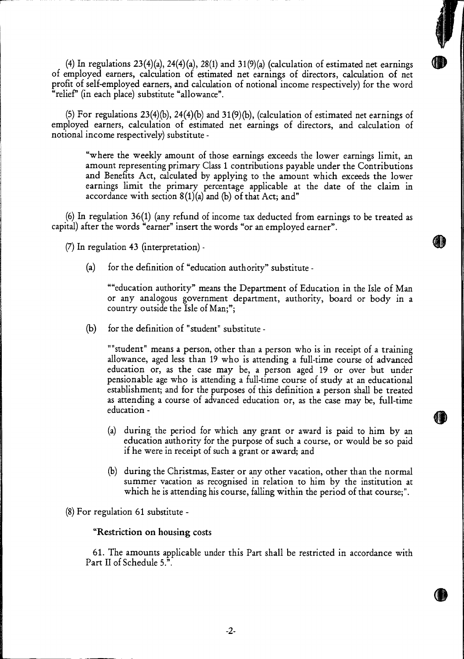(4) In regulations  $23(4)(a)$ ,  $24(4)(a)$ ,  $28(1)$  and  $31(9)(a)$  (calculation of estimated net earnings of employed earners, calculation of estimated net earnings of directors, calculation of net profit of self-employed earners, and calculation of notional income respectively) for the word "relief" (in each place) substitute "allowance".

(5) For regulations 23(4)(b), 24(4)(b) and 31(9)(b), (calculation of estimated net earnings of employed earners, calculation of estimated net earnings of directors, and calculation of notional income respectively) substitute -

"where the weekly amount of those earnings exceeds the lower earnings limit, an amount representing primary Class 1 contributions payable under the Contributions and Benefits Act, calculated by applying to the amount which exceeds the lower earnings limit the primary percentage applicable at the date of the claim in accordance with section  $8(1)(a)$  and (b) of that Act; and"

(6) In regulation 36(1) (any refund of income tax deducted from earnings to be treated as capital) after the words "earner" insert the words "or an employed earner".

(7) In regulation 43 (interpretation) -

(a) for the definition of "education authority" substitute -

""education authority" means the Department of Education in the Isle of Man or any analogous government department, authority, board or body in a country outside the Isle of Man;";

(b) for the definition of "student" substitute -

"student" means a person, other than a person who is in receipt of a training allowance, aged less than 19 who is attending a full-time course of advanced education or, as the case may be, a person aged **19** or over but under pensionable age who is attending a full-time course of study at an educational establishment; and for the purposes of this definition a person shall be treated as attending a course of advanced education or, as the case may be, full-time education -

- (a) during the period for which any grant or award is paid to him by an education authority for the purpose of such a course, or would be so paid if he were in receipt of such a grant or award; and
- (b) during the Christmas, Easter or any other vacation, other than the normal summer vacation as recognised in relation to him by the institution at which he is attending his course, falling within the period of that course;".

(8) For regulation 61 substitute

### **-"Restriction on housing costs**

**61.** The amounts applicable under this Part shall be restricted in accordance with Part II of Schedule 5.".